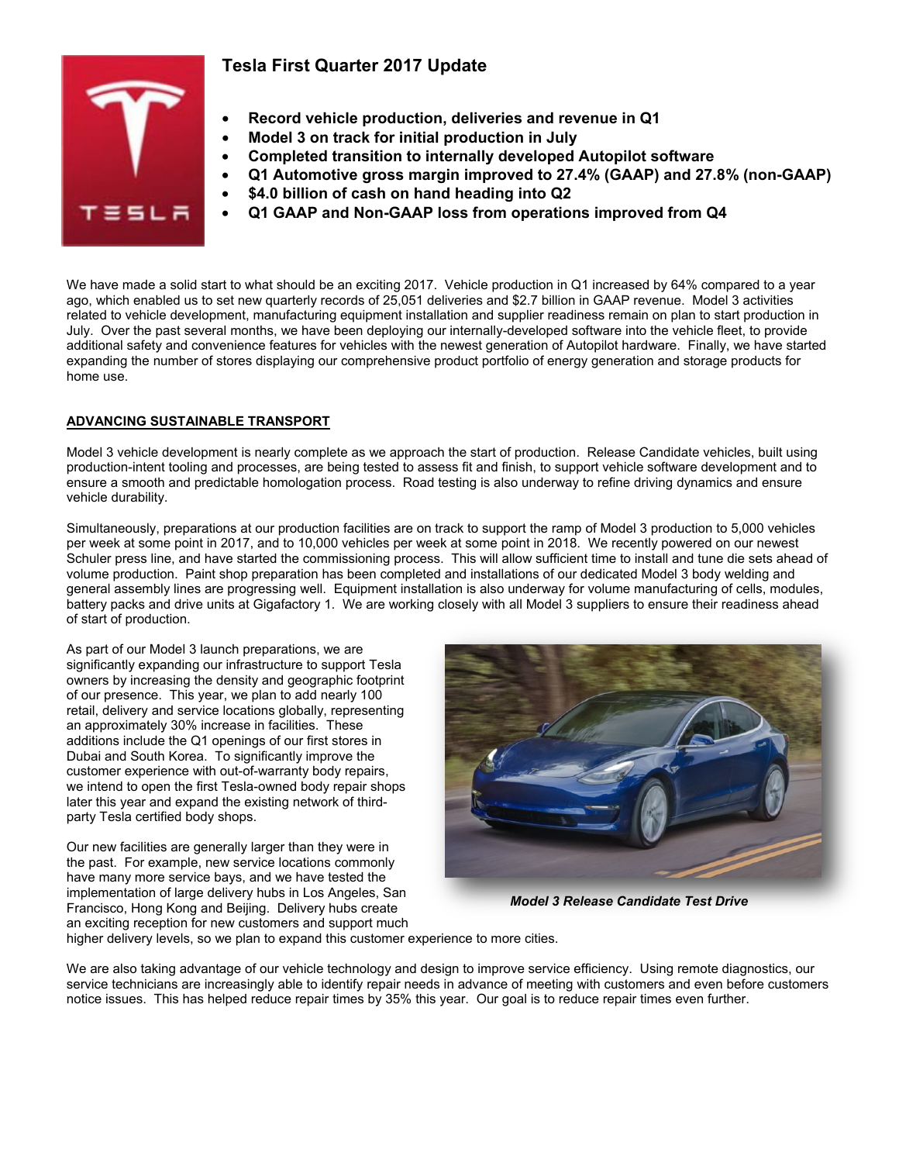# **Tesla First Quarter 2017 Update**



# • **Record vehicle production, deliveries and revenue in Q1**

- **Model 3 on track for initial production in July**
- **Completed transition to internally developed Autopilot software**
- **Q1 Automotive gross margin improved to 27.4% (GAAP) and 27.8% (non-GAAP)**
	- **\$4.0 billion of cash on hand heading into Q2**
	- **Q1 GAAP and Non-GAAP loss from operations improved from Q4**

We have made a solid start to what should be an exciting 2017. Vehicle production in Q1 increased by 64% compared to a year ago, which enabled us to set new quarterly records of 25,051 deliveries and \$2.7 billion in GAAP revenue. Model 3 activities related to vehicle development, manufacturing equipment installation and supplier readiness remain on plan to start production in July. Over the past several months, we have been deploying our internally-developed software into the vehicle fleet, to provide additional safety and convenience features for vehicles with the newest generation of Autopilot hardware. Finally, we have started expanding the number of stores displaying our comprehensive product portfolio of energy generation and storage products for home use.

## **ADVANCING SUSTAINABLE TRANSPORT**

Model 3 vehicle development is nearly complete as we approach the start of production. Release Candidate vehicles, built using production-intent tooling and processes, are being tested to assess fit and finish, to support vehicle software development and to ensure a smooth and predictable homologation process. Road testing is also underway to refine driving dynamics and ensure vehicle durability.

Simultaneously, preparations at our production facilities are on track to support the ramp of Model 3 production to 5,000 vehicles per week at some point in 2017, and to 10,000 vehicles per week at some point in 2018. We recently powered on our newest Schuler press line, and have started the commissioning process. This will allow sufficient time to install and tune die sets ahead of volume production. Paint shop preparation has been completed and installations of our dedicated Model 3 body welding and general assembly lines are progressing well. Equipment installation is also underway for volume manufacturing of cells, modules, battery packs and drive units at Gigafactory 1. We are working closely with all Model 3 suppliers to ensure their readiness ahead of start of production.

As part of our Model 3 launch preparations, we are significantly expanding our infrastructure to support Tesla owners by increasing the density and geographic footprint of our presence. This year, we plan to add nearly 100 retail, delivery and service locations globally, representing an approximately 30% increase in facilities. These additions include the Q1 openings of our first stores in Dubai and South Korea. To significantly improve the customer experience with out-of-warranty body repairs, we intend to open the first Tesla-owned body repair shops later this year and expand the existing network of thirdparty Tesla certified body shops.

Our new facilities are generally larger than they were in the past. For example, new service locations commonly have many more service bays, and we have tested the implementation of large delivery hubs in Los Angeles, San Francisco, Hong Kong and Beijing. Delivery hubs create an exciting reception for new customers and support much



*Model 3 Release Candidate Test Drive*

higher delivery levels, so we plan to expand this customer experience to more cities.

We are also taking advantage of our vehicle technology and design to improve service efficiency. Using remote diagnostics, our service technicians are increasingly able to identify repair needs in advance of meeting with customers and even before customers notice issues. This has helped reduce repair times by 35% this year. Our goal is to reduce repair times even further.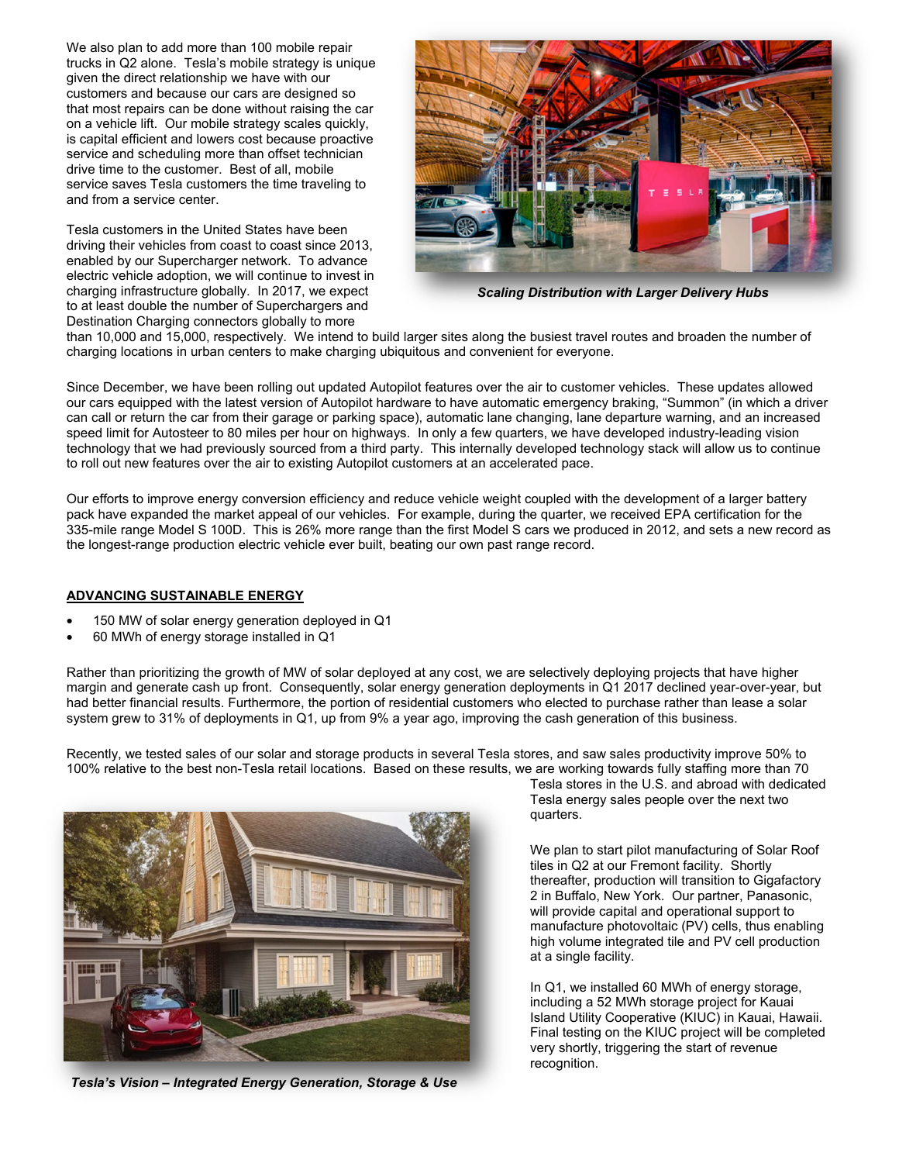We also plan to add more than 100 mobile repair trucks in Q2 alone. Tesla's mobile strategy is unique given the direct relationship we have with our customers and because our cars are designed so that most repairs can be done without raising the car on a vehicle lift. Our mobile strategy scales quickly, is capital efficient and lowers cost because proactive service and scheduling more than offset technician drive time to the customer. Best of all, mobile service saves Tesla customers the time traveling to and from a service center.

Tesla customers in the United States have been driving their vehicles from coast to coast since 2013, enabled by our Supercharger network. To advance electric vehicle adoption, we will continue to invest in charging infrastructure globally. In 2017, we expect to at least double the number of Superchargers and Destination Charging connectors globally to more



*Scaling Distribution with Larger Delivery Hubs*

than 10,000 and 15,000, respectively. We intend to build larger sites along the busiest travel routes and broaden the number of charging locations in urban centers to make charging ubiquitous and convenient for everyone.

Since December, we have been rolling out updated Autopilot features over the air to customer vehicles. These updates allowed our cars equipped with the latest version of Autopilot hardware to have automatic emergency braking, "Summon" (in which a driver can call or return the car from their garage or parking space), automatic lane changing, lane departure warning, and an increased speed limit for Autosteer to 80 miles per hour on highways. In only a few quarters, we have developed industry-leading vision technology that we had previously sourced from a third party. This internally developed technology stack will allow us to continue to roll out new features over the air to existing Autopilot customers at an accelerated pace.

Our efforts to improve energy conversion efficiency and reduce vehicle weight coupled with the development of a larger battery pack have expanded the market appeal of our vehicles. For example, during the quarter, we received EPA certification for the 335-mile range Model S 100D. This is 26% more range than the first Model S cars we produced in 2012, and sets a new record as the longest-range production electric vehicle ever built, beating our own past range record.

#### **ADVANCING SUSTAINABLE ENERGY**

- 150 MW of solar energy generation deployed in Q1
- 60 MWh of energy storage installed in Q1

Rather than prioritizing the growth of MW of solar deployed at any cost, we are selectively deploying projects that have higher margin and generate cash up front. Consequently, solar energy generation deployments in Q1 2017 declined year-over-year, but had better financial results. Furthermore, the portion of residential customers who elected to purchase rather than lease a solar system grew to 31% of deployments in Q1, up from 9% a year ago, improving the cash generation of this business.

Recently, we tested sales of our solar and storage products in several Tesla stores, and saw sales productivity improve 50% to 100% relative to the best non-Tesla retail locations. Based on these results, we are working towards fully staffing more than 70



*Tesla's Vision – Integrated Energy Generation, Storage & Use*

Tesla stores in the U.S. and abroad with dedicated Tesla energy sales people over the next two quarters.

We plan to start pilot manufacturing of Solar Roof tiles in Q2 at our Fremont facility. Shortly thereafter, production will transition to Gigafactory 2 in Buffalo, New York. Our partner, Panasonic, will provide capital and operational support to manufacture photovoltaic (PV) cells, thus enabling high volume integrated tile and PV cell production at a single facility.

In Q1, we installed 60 MWh of energy storage, including a 52 MWh storage project for Kauai Island Utility Cooperative (KIUC) in Kauai, Hawaii. Final testing on the KIUC project will be completed very shortly, triggering the start of revenue recognition.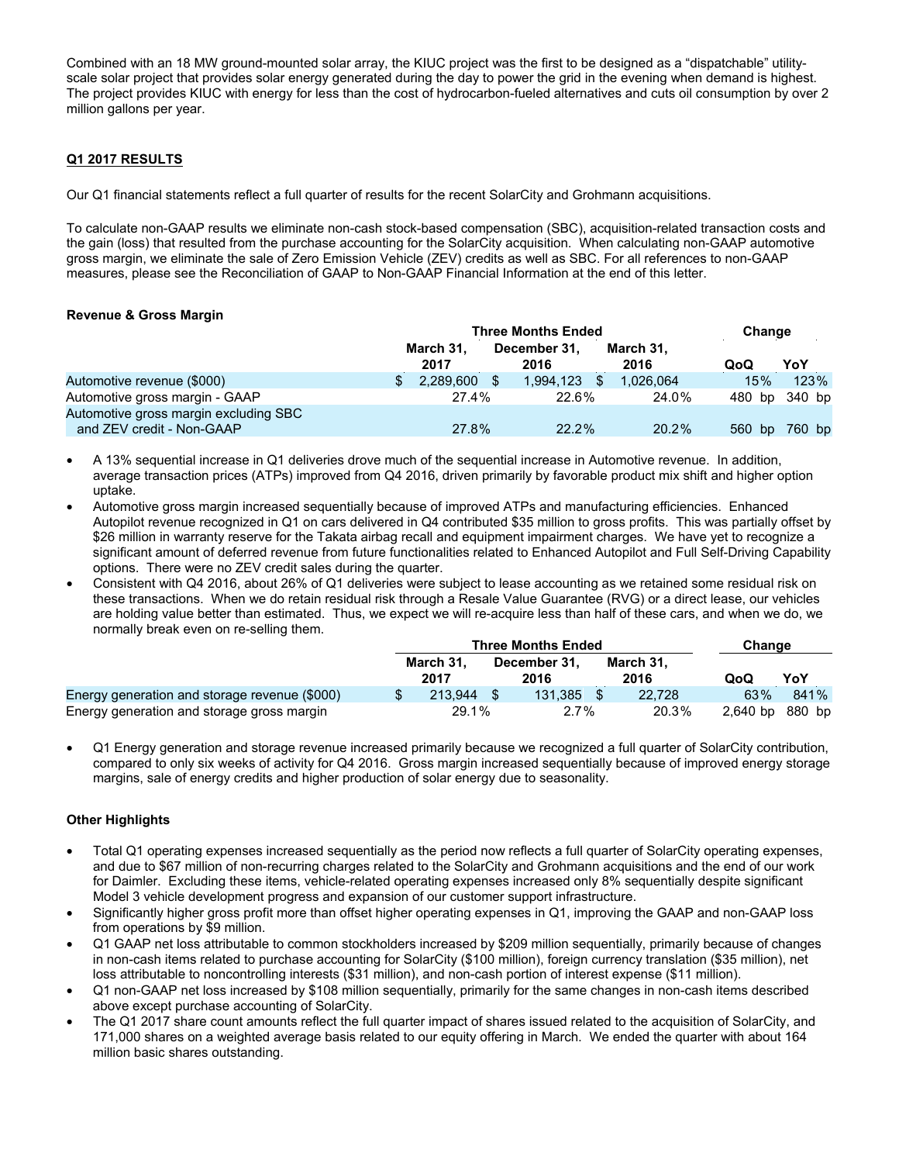Combined with an 18 MW ground-mounted solar array, the KIUC project was the first to be designed as a "dispatchable" utilityscale solar project that provides solar energy generated during the day to power the grid in the evening when demand is highest. The project provides KIUC with energy for less than the cost of hydrocarbon-fueled alternatives and cuts oil consumption by over 2 million gallons per year.

### **Q1 2017 RESULTS**

Our Q1 financial statements reflect a full quarter of results for the recent SolarCity and Grohmann acquisitions.

To calculate non-GAAP results we eliminate non-cash stock-based compensation (SBC), acquisition-related transaction costs and the gain (loss) that resulted from the purchase accounting for the SolarCity acquisition. When calculating non-GAAP automotive gross margin, we eliminate the sale of Zero Emission Vehicle (ZEV) credits as well as SBC. For all references to non-GAAP measures, please see the Reconciliation of GAAP to Non-GAAP Financial Information at the end of this letter.

#### **Revenue & Gross Margin**

|                                                                    | <b>Three Months Ended</b> |                   |               |                      |  |                   |  | Change |        |
|--------------------------------------------------------------------|---------------------------|-------------------|---------------|----------------------|--|-------------------|--|--------|--------|
|                                                                    |                           | March 31.<br>2017 |               | December 31.<br>2016 |  | March 31,<br>2016 |  | QoQ    | YoY    |
| Automotive revenue (\$000)                                         | \$                        | 2.289.600         | <sup>\$</sup> | 1.994.123            |  | 1.026.064         |  | 15%    | 123%   |
| Automotive gross margin - GAAP                                     |                           | 27.4%             |               | 22.6%                |  | 24.0%             |  | 480 bp | 340 bp |
| Automotive gross margin excluding SBC<br>and ZEV credit - Non-GAAP |                           | 27.8%             |               | $22.2\%$             |  | 20.2%             |  | 560 bp | 760 bp |

- A 13% sequential increase in Q1 deliveries drove much of the sequential increase in Automotive revenue. In addition, average transaction prices (ATPs) improved from Q4 2016, driven primarily by favorable product mix shift and higher option uptake.
- Automotive gross margin increased sequentially because of improved ATPs and manufacturing efficiencies. Enhanced Autopilot revenue recognized in Q1 on cars delivered in Q4 contributed \$35 million to gross profits. This was partially offset by \$26 million in warranty reserve for the Takata airbag recall and equipment impairment charges. We have yet to recognize a significant amount of deferred revenue from future functionalities related to Enhanced Autopilot and Full Self-Driving Capability options. There were no ZEV credit sales during the quarter.
- Consistent with Q4 2016, about 26% of Q1 deliveries were subject to lease accounting as we retained some residual risk on these transactions. When we do retain residual risk through a Resale Value Guarantee (RVG) or a direct lease, our vehicles are holding value better than estimated. Thus, we expect we will re-acquire less than half of these cars, and when we do, we normally break even on re-selling them.

|                                               | <b>Three Months Ended</b> | Change               |                   |                 |      |
|-----------------------------------------------|---------------------------|----------------------|-------------------|-----------------|------|
|                                               | March 31.<br>2017         | December 31.<br>2016 | March 31,<br>2016 | QoQ             | YoY  |
| Energy generation and storage revenue (\$000) | 213.944                   | 131.385              | 22.728            | 63%             | 841% |
| Energy generation and storage gross margin    | 29.1%                     | $2.7\%$              | 20.3%             | 2,640 bp 880 bp |      |

• Q1 Energy generation and storage revenue increased primarily because we recognized a full quarter of SolarCity contribution, compared to only six weeks of activity for Q4 2016. Gross margin increased sequentially because of improved energy storage margins, sale of energy credits and higher production of solar energy due to seasonality.

#### **Other Highlights**

- Total Q1 operating expenses increased sequentially as the period now reflects a full quarter of SolarCity operating expenses, and due to \$67 million of non-recurring charges related to the SolarCity and Grohmann acquisitions and the end of our work for Daimler. Excluding these items, vehicle-related operating expenses increased only 8% sequentially despite significant Model 3 vehicle development progress and expansion of our customer support infrastructure.
- Significantly higher gross profit more than offset higher operating expenses in Q1, improving the GAAP and non-GAAP loss from operations by \$9 million.
- Q1 GAAP net loss attributable to common stockholders increased by \$209 million sequentially, primarily because of changes in non-cash items related to purchase accounting for SolarCity (\$100 million), foreign currency translation (\$35 million), net loss attributable to noncontrolling interests (\$31 million), and non-cash portion of interest expense (\$11 million).
- Q1 non-GAAP net loss increased by \$108 million sequentially, primarily for the same changes in non-cash items described above except purchase accounting of SolarCity.
- The Q1 2017 share count amounts reflect the full quarter impact of shares issued related to the acquisition of SolarCity, and 171,000 shares on a weighted average basis related to our equity offering in March. We ended the quarter with about 164 million basic shares outstanding.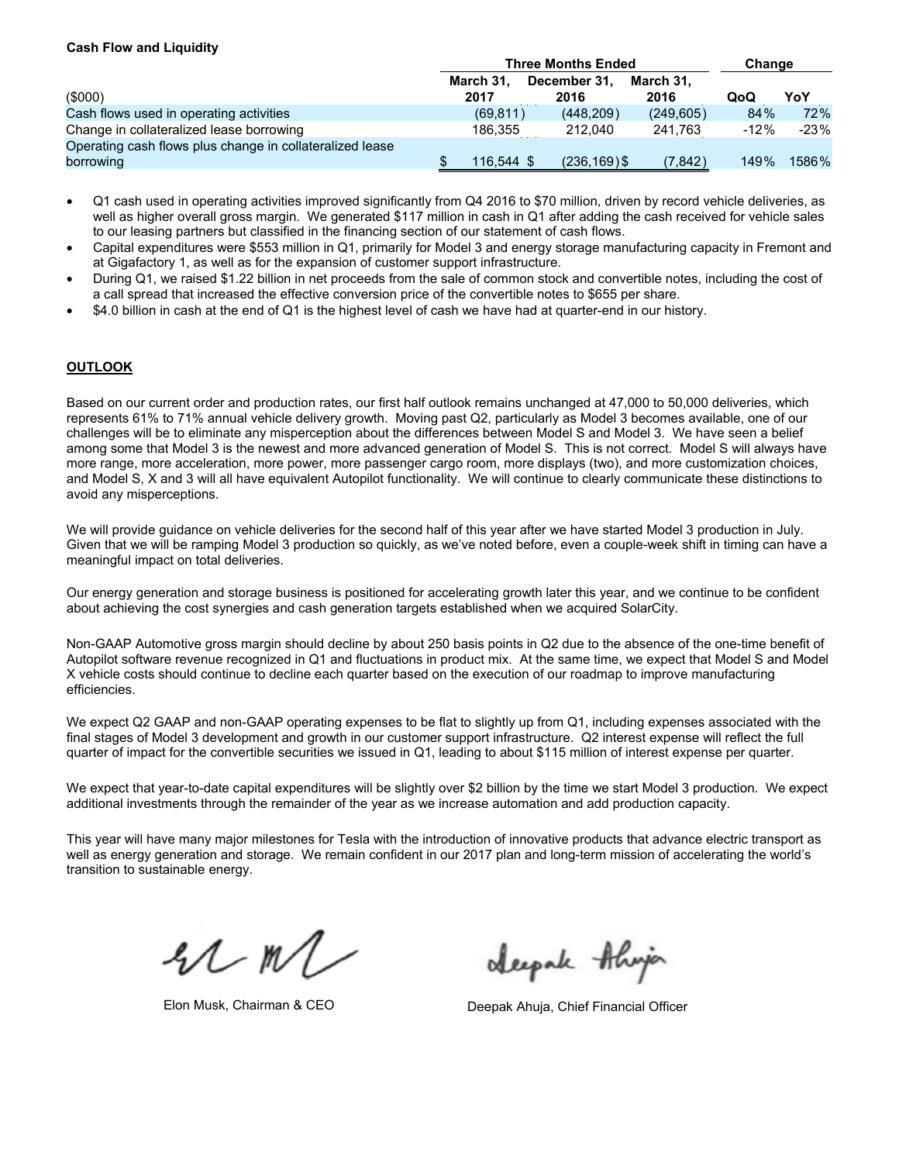#### **Cash Flow and Liquidity**

|                                                                       | <b>Three Months Ended</b> | Change               |                   |        |        |
|-----------------------------------------------------------------------|---------------------------|----------------------|-------------------|--------|--------|
| (000)                                                                 | March 31.<br>2017         | December 31.<br>2016 | March 31.<br>2016 | QoQ    | YoY    |
| Cash flows used in operating activities                               | (69, 811)                 | (448.209)            | (249, 605)        | 84%    | 72%    |
| Change in collateralized lease borrowing                              | 186.355                   | 212.040              | 241.763           | $-12%$ | $-23%$ |
| Operating cash flows plus change in collateralized lease<br>borrowing | 116.544 \$                | $(236, 169)$ \$      | (7,842)           | 149%   | 1586%  |

- Q1 cash used in operating activities improved significantly from Q4 2016 to \$70 million, driven by record vehicle deliveries, as well as higher overall gross margin. We generated \$117 million in cash in Q1 after adding the cash received for vehicle sales to our leasing partners but classified in the financing section of our statement of cash flows.
- Capital expenditures were \$553 million in Q1, primarily for Model 3 and energy storage manufacturing capacity in Fremont and at Gigafactory 1, as well as for the expansion of customer support infrastructure.
- During Q1, we raised \$1.22 billion in net proceeds from the sale of common stock and convertible notes, including the cost of a call spread that increased the effective conversion price of the convertible notes to \$655 per share.
- \$4.0 billion in cash at the end of Q1 is the highest level of cash we have had at quarter-end in our history.

## **OUTLOOK**

Based on our current order and production rates, our first half outlook remains unchanged at 47,000 to 50,000 deliveries, which represents 61% to 71% annual vehicle delivery growth. Moving past Q2, particularly as Model 3 becomes available, one of our challenges will be to eliminate any misperception about the differences between Model S and Model 3. We have seen a belief among some that Model 3 is the newest and more advanced generation of Model S. This is not correct. Model S will always have more range, more acceleration, more power, more passenger cargo room, more displays (two), and more customization choices, and Model S, X and 3 will all have equivalent Autopilot functionality. We will continue to clearly communicate these distinctions to avoid any misperceptions.

We will provide guidance on vehicle deliveries for the second half of this year after we have started Model 3 production in July. Given that we will be ramping Model 3 production so quickly, as we've noted before, even a couple-week shift in timing can have a meaningful impact on total deliveries.

Our energy generation and storage business is positioned for accelerating growth later this year, and we continue to be confident about achieving the cost synergies and cash generation targets established when we acquired SolarCity.

Non-GAAP Automotive gross margin should decline by about 250 basis points in Q2 due to the absence of the one-time benefit of Autopilot software revenue recognized in Q1 and fluctuations in product mix. At the same time, we expect that Model S and Model X vehicle costs should continue to decline each quarter based on the execution of our roadmap to improve manufacturing efficiencies.

We expect Q2 GAAP and non-GAAP operating expenses to be flat to slightly up from Q1, including expenses associated with the final stages of Model 3 development and growth in our customer support infrastructure. Q2 interest expense will reflect the full quarter of impact for the convertible securities we issued in Q1, leading to about \$115 million of interest expense per quarter.

We expect that year-to-date capital expenditures will be slightly over \$2 billion by the time we start Model 3 production. We expect additional investments through the remainder of the year as we increase automation and add production capacity.

This year will have many major milestones for Tesla with the introduction of innovative products that advance electric transport as well as energy generation and storage. We remain confident in our 2017 plan and long-term mission of accelerating the world's transition to sustainable energy.

 $21$  m/

Alexpale Alwin

Elon Musk, Chairman & CEO **Deepak Ahuja, Chief Financial Officer**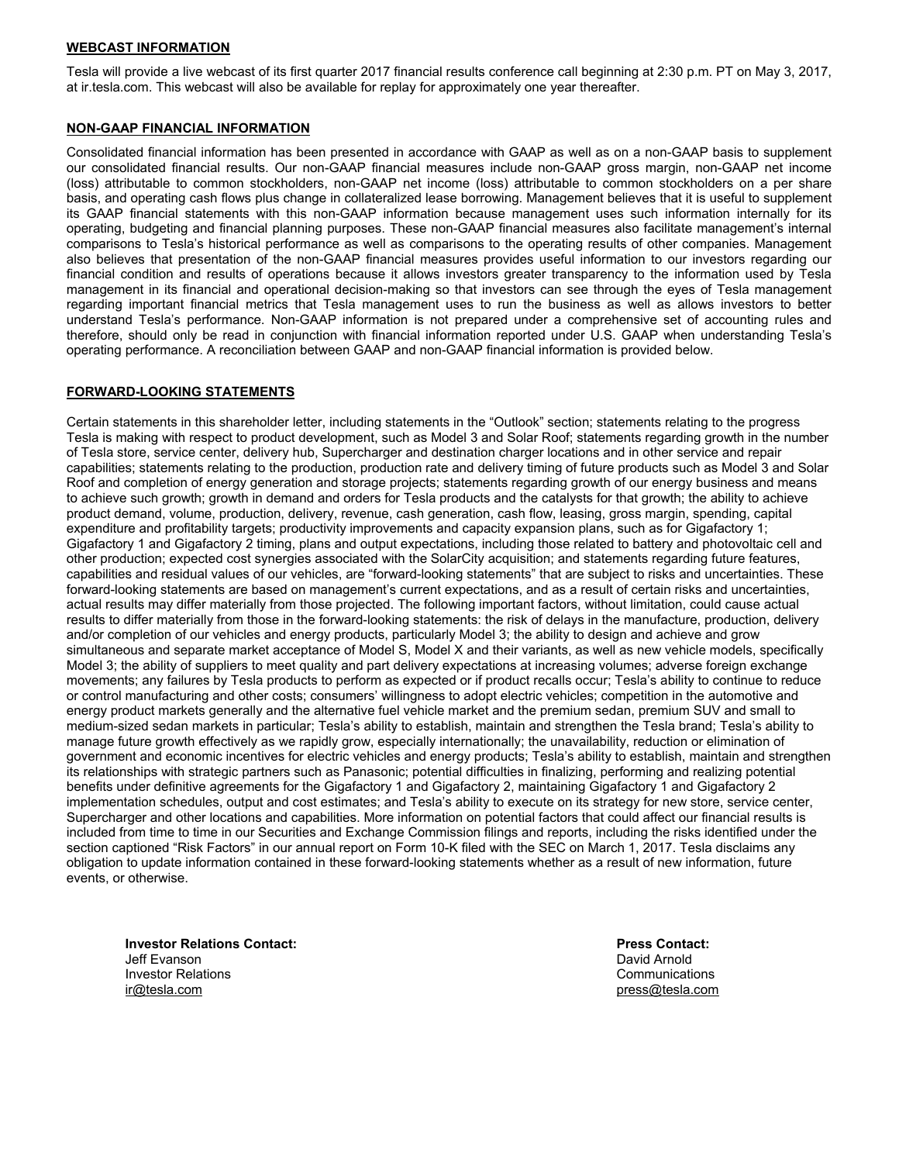#### **WEBCAST INFORMATION**

Tesla will provide a live webcast of its first quarter 2017 financial results conference call beginning at 2:30 p.m. PT on May 3, 2017, at ir.tesla.com. This webcast will also be available for replay for approximately one year thereafter.

#### **NON-GAAP FINANCIAL INFORMATION**

Consolidated financial information has been presented in accordance with GAAP as well as on a non-GAAP basis to supplement our consolidated financial results. Our non-GAAP financial measures include non-GAAP gross margin, non-GAAP net income (loss) attributable to common stockholders, non-GAAP net income (loss) attributable to common stockholders on a per share basis, and operating cash flows plus change in collateralized lease borrowing. Management believes that it is useful to supplement its GAAP financial statements with this non-GAAP information because management uses such information internally for its operating, budgeting and financial planning purposes. These non-GAAP financial measures also facilitate management's internal comparisons to Tesla's historical performance as well as comparisons to the operating results of other companies. Management also believes that presentation of the non-GAAP financial measures provides useful information to our investors regarding our financial condition and results of operations because it allows investors greater transparency to the information used by Tesla management in its financial and operational decision-making so that investors can see through the eyes of Tesla management regarding important financial metrics that Tesla management uses to run the business as well as allows investors to better understand Tesla's performance. Non-GAAP information is not prepared under a comprehensive set of accounting rules and therefore, should only be read in conjunction with financial information reported under U.S. GAAP when understanding Tesla's operating performance. A reconciliation between GAAP and non-GAAP financial information is provided below.

#### **FORWARD-LOOKING STATEMENTS**

Certain statements in this shareholder letter, including statements in the "Outlook" section; statements relating to the progress Tesla is making with respect to product development, such as Model 3 and Solar Roof; statements regarding growth in the number of Tesla store, service center, delivery hub, Supercharger and destination charger locations and in other service and repair capabilities; statements relating to the production, production rate and delivery timing of future products such as Model 3 and Solar Roof and completion of energy generation and storage projects; statements regarding growth of our energy business and means to achieve such growth; growth in demand and orders for Tesla products and the catalysts for that growth; the ability to achieve product demand, volume, production, delivery, revenue, cash generation, cash flow, leasing, gross margin, spending, capital expenditure and profitability targets; productivity improvements and capacity expansion plans, such as for Gigafactory 1; Gigafactory 1 and Gigafactory 2 timing, plans and output expectations, including those related to battery and photovoltaic cell and other production; expected cost synergies associated with the SolarCity acquisition; and statements regarding future features, capabilities and residual values of our vehicles, are "forward-looking statements" that are subject to risks and uncertainties. These forward-looking statements are based on management's current expectations, and as a result of certain risks and uncertainties, actual results may differ materially from those projected. The following important factors, without limitation, could cause actual results to differ materially from those in the forward-looking statements: the risk of delays in the manufacture, production, delivery and/or completion of our vehicles and energy products, particularly Model 3; the ability to design and achieve and grow simultaneous and separate market acceptance of Model S, Model X and their variants, as well as new vehicle models, specifically Model 3; the ability of suppliers to meet quality and part delivery expectations at increasing volumes; adverse foreign exchange movements; any failures by Tesla products to perform as expected or if product recalls occur; Tesla's ability to continue to reduce or control manufacturing and other costs; consumers' willingness to adopt electric vehicles; competition in the automotive and energy product markets generally and the alternative fuel vehicle market and the premium sedan, premium SUV and small to medium-sized sedan markets in particular; Tesla's ability to establish, maintain and strengthen the Tesla brand; Tesla's ability to manage future growth effectively as we rapidly grow, especially internationally; the unavailability, reduction or elimination of government and economic incentives for electric vehicles and energy products; Tesla's ability to establish, maintain and strengthen its relationships with strategic partners such as Panasonic; potential difficulties in finalizing, performing and realizing potential benefits under definitive agreements for the Gigafactory 1 and Gigafactory 2, maintaining Gigafactory 1 and Gigafactory 2 implementation schedules, output and cost estimates; and Tesla's ability to execute on its strategy for new store, service center, Supercharger and other locations and capabilities. More information on potential factors that could affect our financial results is included from time to time in our Securities and Exchange Commission filings and reports, including the risks identified under the section captioned "Risk Factors" in our annual report on Form 10-K filed with the SEC on March 1, 2017. Tesla disclaims any obligation to update information contained in these forward-looking statements whether as a result of new information, future events, or otherwise.

**Investor Relations Contact:** Jeff Evanson Investor Relations ir@tesla.com

**Press Contact:** David Arnold Communications press@tesla.com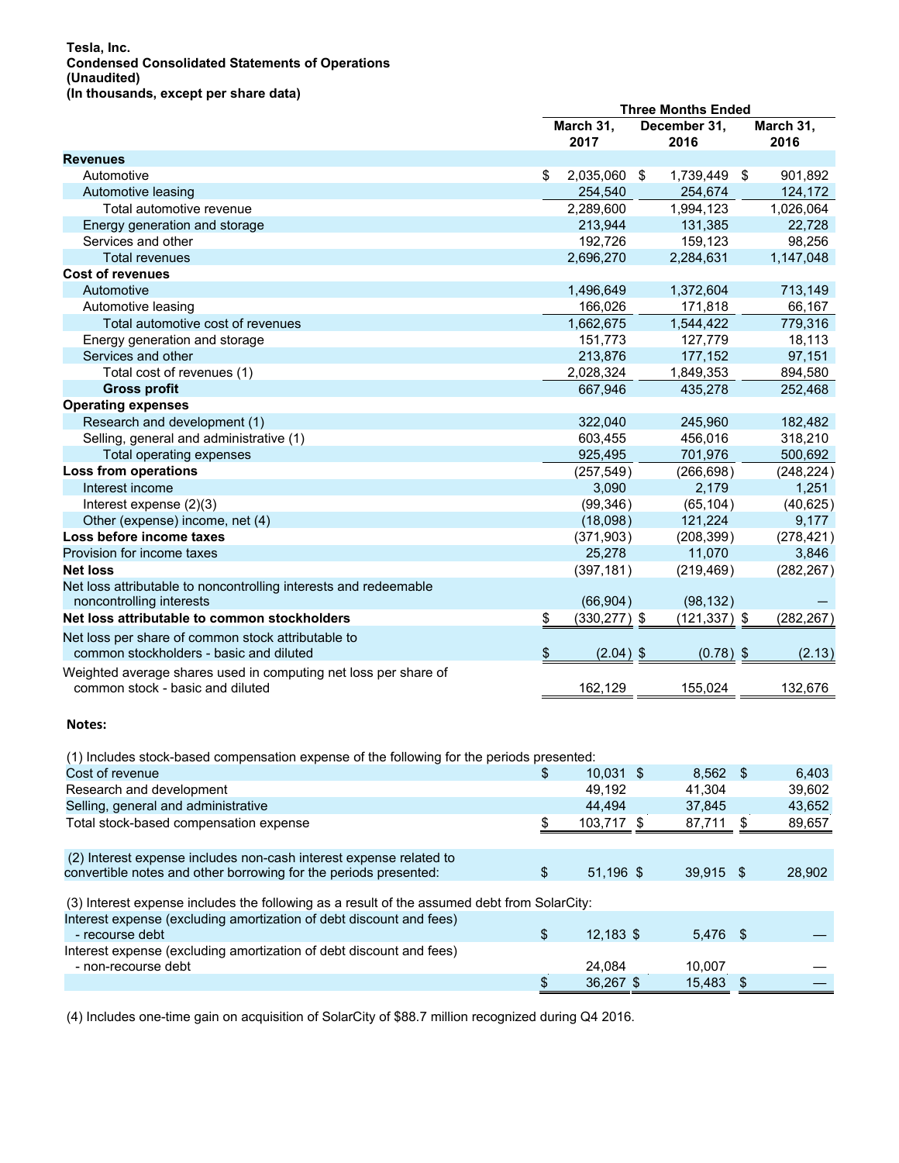#### **Tesla, Inc. Condensed Consolidated Statements of Operations (Unaudited) (In thousands, except per share data)**

|                                                                                                                                        | <b>Three Months Ended</b> |  |                      |    |                   |
|----------------------------------------------------------------------------------------------------------------------------------------|---------------------------|--|----------------------|----|-------------------|
|                                                                                                                                        | March 31,<br>2017         |  | December 31,<br>2016 |    | March 31,<br>2016 |
| <b>Revenues</b>                                                                                                                        |                           |  |                      |    |                   |
| Automotive                                                                                                                             | \$<br>2,035,060 \$        |  | 1,739,449            | \$ | 901,892           |
| Automotive leasing                                                                                                                     | 254,540                   |  | 254,674              |    | 124,172           |
| Total automotive revenue                                                                                                               | 2,289,600                 |  | 1,994,123            |    | 1,026,064         |
| Energy generation and storage                                                                                                          | 213,944                   |  | 131,385              |    | 22,728            |
| Services and other                                                                                                                     | 192,726                   |  | 159,123              |    | 98,256            |
| <b>Total revenues</b>                                                                                                                  | 2,696,270                 |  | 2,284,631            |    | 1,147,048         |
| <b>Cost of revenues</b>                                                                                                                |                           |  |                      |    |                   |
| Automotive                                                                                                                             | 1,496,649                 |  | 1,372,604            |    | 713,149           |
| Automotive leasing                                                                                                                     | 166,026                   |  | 171,818              |    | 66,167            |
| Total automotive cost of revenues                                                                                                      | 1,662,675                 |  | 1,544,422            |    | 779,316           |
| Energy generation and storage                                                                                                          | 151,773                   |  | 127,779              |    | 18,113            |
| Services and other                                                                                                                     | 213,876                   |  | 177,152              |    | 97,151            |
| Total cost of revenues (1)                                                                                                             | 2,028,324                 |  | 1,849,353            |    | 894,580           |
| <b>Gross profit</b>                                                                                                                    | 667,946                   |  | 435,278              |    | 252,468           |
| <b>Operating expenses</b>                                                                                                              |                           |  |                      |    |                   |
| Research and development (1)                                                                                                           | 322,040                   |  | 245,960              |    | 182,482           |
| Selling, general and administrative (1)                                                                                                | 603,455                   |  | 456,016              |    | 318,210           |
| Total operating expenses                                                                                                               | 925,495                   |  | 701,976              |    | 500,692           |
| Loss from operations                                                                                                                   | (257, 549)                |  | (266, 698)           |    | (248, 224)        |
| Interest income                                                                                                                        | 3,090                     |  | 2,179                |    | 1,251             |
| Interest expense (2)(3)                                                                                                                | (99, 346)                 |  | (65, 104)            |    | (40, 625)         |
| Other (expense) income, net (4)                                                                                                        | (18,098)                  |  | 121,224              |    | 9,177             |
| Loss before income taxes                                                                                                               |                           |  | (208, 399)           |    |                   |
| Provision for income taxes                                                                                                             | (371, 903)<br>25,278      |  | 11,070               |    | (278, 421)        |
|                                                                                                                                        |                           |  |                      |    | 3,846             |
| <b>Net loss</b>                                                                                                                        | (397, 181)                |  | (219, 469)           |    | (282, 267)        |
| Net loss attributable to noncontrolling interests and redeemable                                                                       |                           |  |                      |    |                   |
| noncontrolling interests                                                                                                               | (66, 904)                 |  | (98, 132)            |    |                   |
| Net loss attributable to common stockholders                                                                                           | \$<br>$(330, 277)$ \$     |  | $(121, 337)$ \$      |    | (282, 267)        |
| Net loss per share of common stock attributable to<br>common stockholders - basic and diluted                                          | \$<br>$(2.04)$ \$         |  | $(0.78)$ \$          |    | (2.13)            |
| Weighted average shares used in computing net loss per share of<br>common stock - basic and diluted                                    | 162,129                   |  | 155,024              |    | 132,676           |
| Notes:                                                                                                                                 |                           |  |                      |    |                   |
| (1) Includes stock-based compensation expense of the following for the periods presented:                                              |                           |  |                      |    |                   |
| Cost of revenue                                                                                                                        | \$<br>$10,031$ \$         |  | 8,562 \$             |    | 6,403             |
| Research and development                                                                                                               | 49,192                    |  | 41,304               |    | 39,602            |
| Selling, general and administrative                                                                                                    | 44,494                    |  | 37,845               |    | 43,652            |
| Total stock-based compensation expense                                                                                                 | \$<br>103,717 \$          |  | 87,711               | \$ | 89,657            |
|                                                                                                                                        |                           |  |                      |    |                   |
| (2) Interest expense includes non-cash interest expense related to<br>convertible notes and other borrowing for the periods presented: | \$<br>51,196 \$           |  | 39,915 \$            |    | 28,902            |
| (3) Interest expense includes the following as a result of the assumed debt from SolarCity:                                            |                           |  |                      |    |                   |
| Interest expense (excluding amortization of debt discount and fees)                                                                    |                           |  |                      |    |                   |
| - recourse debt                                                                                                                        | \$<br>12,183 \$           |  | 5,476 \$             |    |                   |
| Interest expense (excluding amortization of debt discount and fees)                                                                    |                           |  |                      |    |                   |
| - non-recourse debt                                                                                                                    | 24,084                    |  | 10,007               |    |                   |
|                                                                                                                                        | \$<br>36,267 \$           |  | 15,483 \$            |    |                   |

(4) Includes one-time gain on acquisition of SolarCity of \$88.7 million recognized during Q4 2016.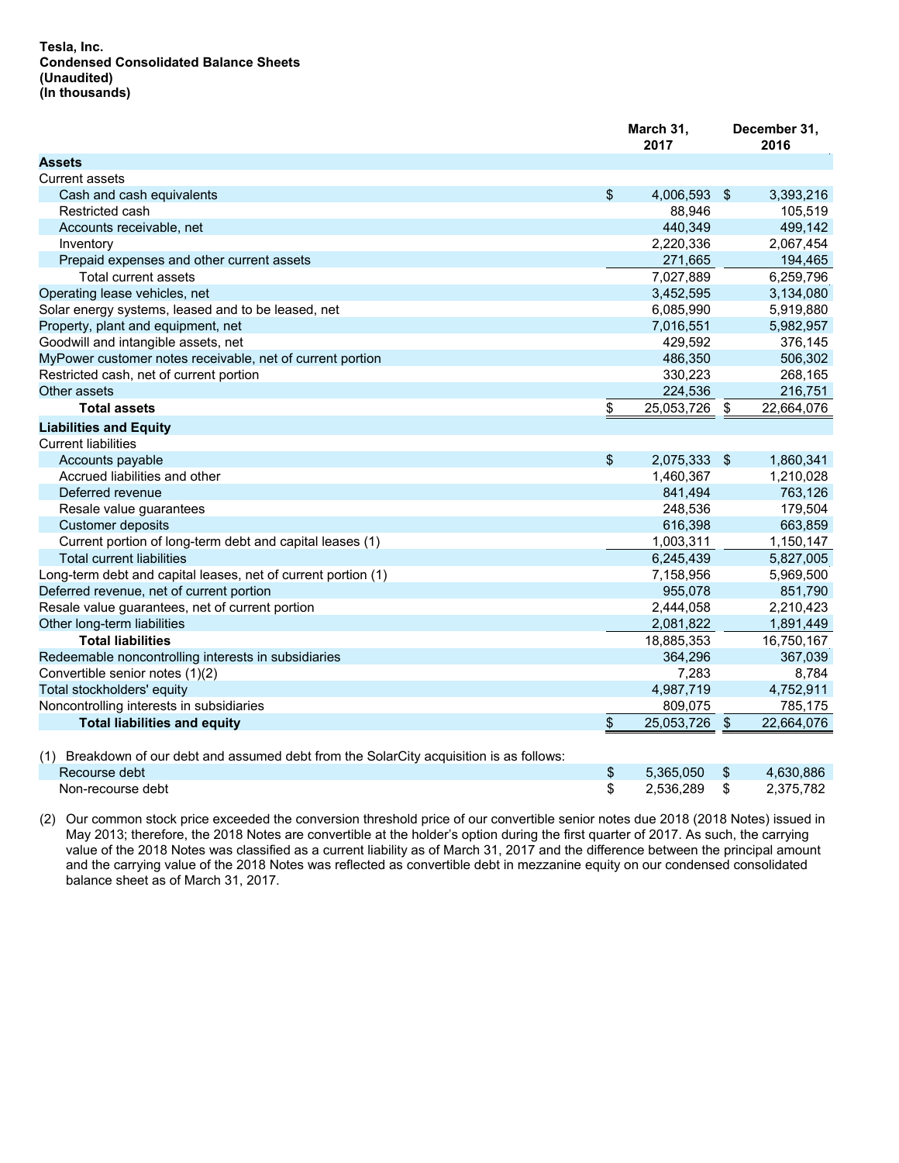|                                                                                          |                | March 31,<br>2017 |                | December 31,<br>2016 |
|------------------------------------------------------------------------------------------|----------------|-------------------|----------------|----------------------|
| <b>Assets</b>                                                                            |                |                   |                |                      |
| <b>Current assets</b>                                                                    |                |                   |                |                      |
| Cash and cash equivalents                                                                | \$             | 4,006,593 \$      |                | 3,393,216            |
| Restricted cash                                                                          |                | 88,946            |                | 105,519              |
| Accounts receivable, net                                                                 |                | 440,349           |                | 499,142              |
| Inventory                                                                                |                | 2,220,336         |                | 2,067,454            |
| Prepaid expenses and other current assets                                                |                | 271,665           |                | 194,465              |
| Total current assets                                                                     |                | 7,027,889         |                | 6,259,796            |
| Operating lease vehicles, net                                                            |                | 3,452,595         |                | 3,134,080            |
| Solar energy systems, leased and to be leased, net                                       |                | 6,085,990         |                | 5,919,880            |
| Property, plant and equipment, net                                                       |                | 7,016,551         |                | 5,982,957            |
| Goodwill and intangible assets, net                                                      |                | 429,592           |                | 376,145              |
| MyPower customer notes receivable, net of current portion                                |                | 486,350           |                | 506,302              |
| Restricted cash, net of current portion                                                  |                | 330,223           |                | 268,165              |
| Other assets                                                                             |                | 224,536           |                | 216,751              |
| <b>Total assets</b>                                                                      | \$             | 25,053,726        | $\mathfrak{F}$ | 22,664,076           |
| <b>Liabilities and Equity</b>                                                            |                |                   |                |                      |
| <b>Current liabilities</b>                                                               |                |                   |                |                      |
| Accounts payable                                                                         | \$             | 2,075,333 \$      |                | 1,860,341            |
| Accrued liabilities and other                                                            |                | 1,460,367         |                | 1,210,028            |
| Deferred revenue                                                                         |                | 841,494           |                | 763,126              |
| Resale value guarantees                                                                  |                | 248,536           |                | 179,504              |
| Customer deposits                                                                        |                | 616,398           |                | 663,859              |
| Current portion of long-term debt and capital leases (1)                                 |                | 1,003,311         |                | 1,150,147            |
| <b>Total current liabilities</b>                                                         |                | 6,245,439         |                | 5,827,005            |
| Long-term debt and capital leases, net of current portion (1)                            |                | 7,158,956         |                | 5,969,500            |
| Deferred revenue, net of current portion                                                 |                | 955,078           |                | 851,790              |
| Resale value guarantees, net of current portion                                          |                | 2,444,058         |                | 2,210,423            |
| Other long-term liabilities                                                              |                | 2,081,822         |                | 1,891,449            |
| <b>Total liabilities</b>                                                                 |                | 18,885,353        |                | 16,750,167           |
| Redeemable noncontrolling interests in subsidiaries                                      |                | 364,296           |                | 367,039              |
| Convertible senior notes (1)(2)                                                          |                | 7,283             |                | 8,784                |
| Total stockholders' equity                                                               |                | 4,987,719         |                | 4,752,911            |
| Noncontrolling interests in subsidiaries                                                 |                | 809,075           |                | 785,175              |
| <b>Total liabilities and equity</b>                                                      | $\mathfrak{F}$ | 25,053,726        | $\frac{3}{2}$  | 22,664,076           |
| (1) Breakdown of our debt and assumed debt from the SolarCity acquisition is as follows: |                |                   |                |                      |
| Recourse debt                                                                            | \$             | 5,365,050         | \$             | 4,630,886            |
| Non-recourse debt                                                                        | \$             | 2,536,289         | \$             | 2.375.782            |

(2) Our common stock price exceeded the conversion threshold price of our convertible senior notes due 2018 (2018 Notes) issued in May 2013; therefore, the 2018 Notes are convertible at the holder's option during the first quarter of 2017. As such, the carrying value of the 2018 Notes was classified as a current liability as of March 31, 2017 and the difference between the principal amount and the carrying value of the 2018 Notes was reflected as convertible debt in mezzanine equity on our condensed consolidated balance sheet as of March 31, 2017.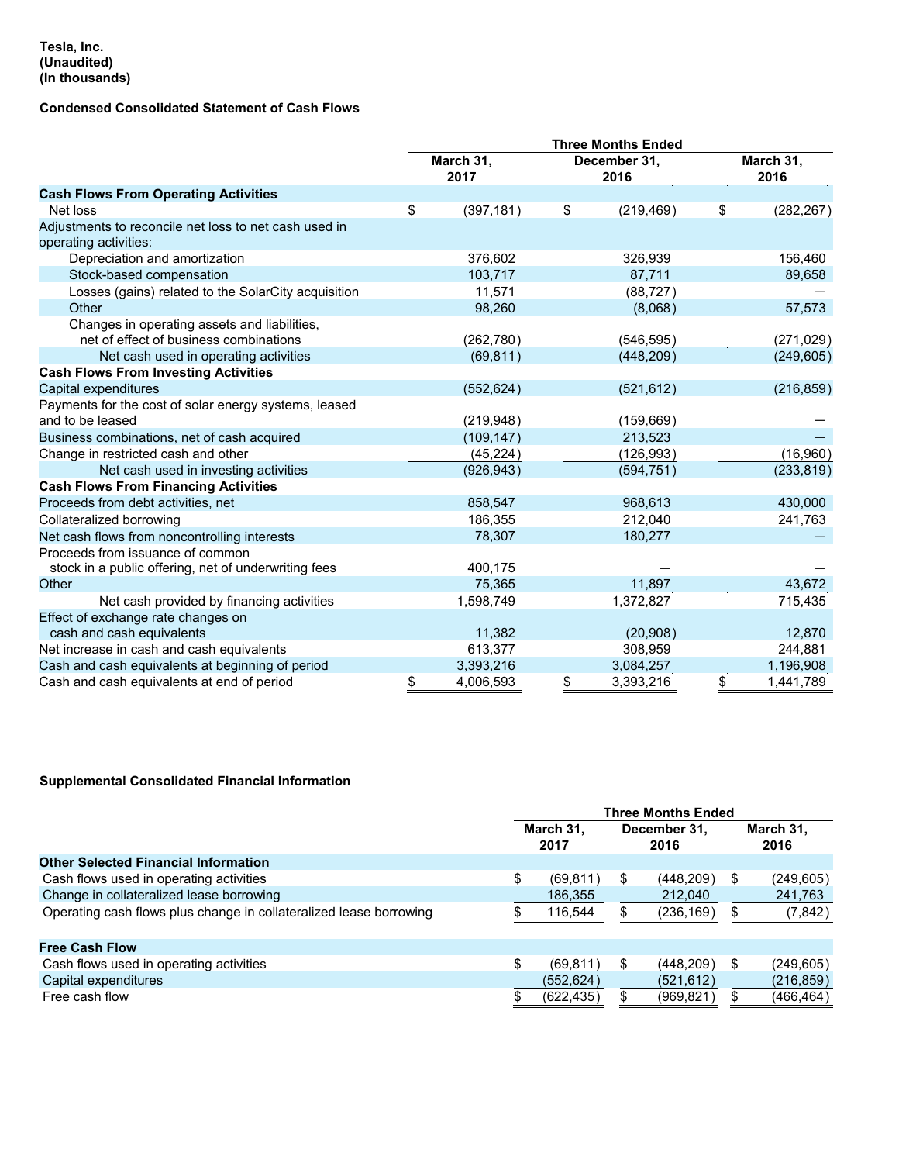#### **Tesla, Inc. (Unaudited) (In thousands)**

# **Condensed Consolidated Statement of Cash Flows**

|                                                       | March 31,<br>2017 | December 31,<br>2016 |            | March 31,<br>2016 |
|-------------------------------------------------------|-------------------|----------------------|------------|-------------------|
| <b>Cash Flows From Operating Activities</b>           |                   |                      |            |                   |
| Net loss                                              | \$<br>(397, 181)  | \$                   | (219, 469) | \$<br>(282, 267)  |
| Adjustments to reconcile net loss to net cash used in |                   |                      |            |                   |
| operating activities:                                 |                   |                      |            |                   |
| Depreciation and amortization                         | 376.602           |                      | 326.939    | 156,460           |
| Stock-based compensation                              | 103,717           |                      | 87,711     | 89,658            |
| Losses (gains) related to the SolarCity acquisition   | 11,571            |                      | (88, 727)  |                   |
| Other                                                 | 98,260            |                      | (8,068)    | 57,573            |
| Changes in operating assets and liabilities,          |                   |                      |            |                   |
| net of effect of business combinations                | (262, 780)        |                      | (546, 595) | (271, 029)        |
| Net cash used in operating activities                 | (69, 811)         |                      | (448, 209) | (249, 605)        |
| <b>Cash Flows From Investing Activities</b>           |                   |                      |            |                   |
| Capital expenditures                                  | (552, 624)        |                      | (521, 612) | (216, 859)        |
| Payments for the cost of solar energy systems, leased |                   |                      |            |                   |
| and to be leased                                      | (219, 948)        |                      | (159, 669) |                   |
| Business combinations, net of cash acquired           | (109, 147)        |                      | 213,523    |                   |
| Change in restricted cash and other                   | (45, 224)         |                      | (126, 993) | (16,960)          |
| Net cash used in investing activities                 | (926, 943)        |                      | (594, 751) | (233, 819)        |
| <b>Cash Flows From Financing Activities</b>           |                   |                      |            |                   |
| Proceeds from debt activities, net                    | 858,547           |                      | 968,613    | 430,000           |
| Collateralized borrowing                              | 186,355           |                      | 212,040    | 241,763           |
| Net cash flows from noncontrolling interests          | 78,307            |                      | 180,277    |                   |
| Proceeds from issuance of common                      |                   |                      |            |                   |
| stock in a public offering, net of underwriting fees  | 400,175           |                      |            |                   |
| Other                                                 | 75,365            |                      | 11,897     | 43,672            |
| Net cash provided by financing activities             | 1,598,749         |                      | 1,372,827  | 715,435           |
| Effect of exchange rate changes on                    |                   |                      |            |                   |
| cash and cash equivalents                             | 11,382            |                      | (20,908)   | 12,870            |
| Net increase in cash and cash equivalents             | 613,377           |                      | 308,959    | 244,881           |
| Cash and cash equivalents at beginning of period      | 3,393,216         |                      | 3,084,257  | 1,196,908         |
| Cash and cash equivalents at end of period            | \$<br>4,006,593   | \$                   | 3,393,216  | \$<br>1,441,789   |

# **Supplemental Consolidated Financial Information**

|                                                                    |                   |     | <b>Three Months Ended</b> |    |                   |
|--------------------------------------------------------------------|-------------------|-----|---------------------------|----|-------------------|
|                                                                    | March 31,<br>2017 |     | December 31,<br>2016      |    | March 31,<br>2016 |
| <b>Other Selected Financial Information</b>                        |                   |     |                           |    |                   |
| Cash flows used in operating activities                            | \$<br>(69, 811)   | \$. | (448, 209)                | \$ | (249, 605)        |
| Change in collateralized lease borrowing                           | 186,355           |     | 212.040                   |    | 241,763           |
| Operating cash flows plus change in collateralized lease borrowing | 116,544           |     | (236,169)                 |    | (7, 842)          |
| <b>Free Cash Flow</b>                                              |                   |     |                           |    |                   |
| Cash flows used in operating activities                            | \$<br>(69, 811)   | S   | (448, 209)                | S  | (249, 605)        |
| Capital expenditures                                               | (552, 624)        |     | (521, 612)                |    | (216, 859)        |
| Free cash flow                                                     | (622, 435)        |     | (969, 821)                |    | (466, 464)        |